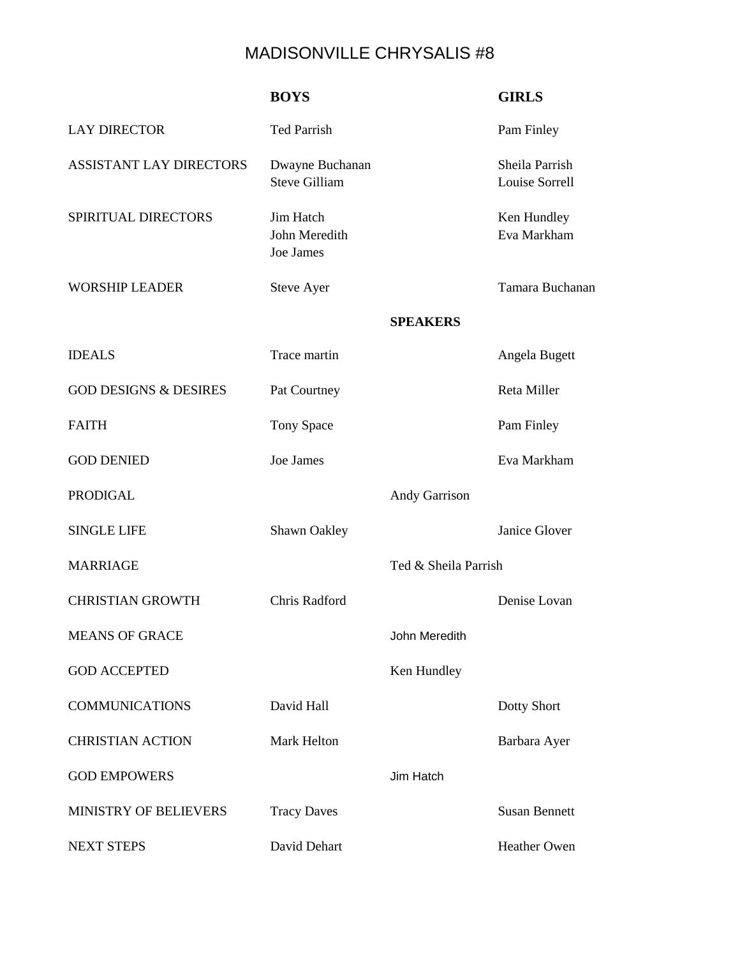## MADISONVILLE CHRYSALIS #8

|                                  | <b>BOYS</b>                             |                      | <b>GIRLS</b>                     |
|----------------------------------|-----------------------------------------|----------------------|----------------------------------|
| <b>LAY DIRECTOR</b>              | <b>Ted Parrish</b>                      |                      | Pam Finley                       |
| <b>ASSISTANT LAY DIRECTORS</b>   | Dwayne Buchanan<br><b>Steve Gilliam</b> |                      | Sheila Parrish<br>Louise Sorrell |
| SPIRITUAL DIRECTORS              | Jim Hatch<br>John Meredith<br>Joe James |                      | Ken Hundley<br>Eva Markham       |
| <b>WORSHIP LEADER</b>            | <b>Steve Ayer</b>                       |                      | Tamara Buchanan                  |
|                                  |                                         | <b>SPEAKERS</b>      |                                  |
| <b>IDEALS</b>                    | Trace martin                            |                      | Angela Bugett                    |
| <b>GOD DESIGNS &amp; DESIRES</b> | Pat Courtney                            |                      | Reta Miller                      |
| <b>FAITH</b>                     | Tony Space                              |                      | Pam Finley                       |
| <b>GOD DENIED</b>                | Joe James                               |                      | Eva Markham                      |
| <b>PRODIGAL</b>                  |                                         | <b>Andy Garrison</b> |                                  |
| <b>SINGLE LIFE</b>               | Shawn Oakley                            |                      | Janice Glover                    |
| <b>MARRIAGE</b>                  |                                         | Ted & Sheila Parrish |                                  |
| <b>CHRISTIAN GROWTH</b>          | Chris Radford                           |                      | Denise Lovan                     |
| <b>MEANS OF GRACE</b>            |                                         | John Meredith        |                                  |
| <b>GOD ACCEPTED</b>              |                                         | Ken Hundley          |                                  |
| <b>COMMUNICATIONS</b>            | David Hall                              |                      | Dotty Short                      |
| <b>CHRISTIAN ACTION</b>          | Mark Helton                             |                      | Barbara Ayer                     |
| <b>GOD EMPOWERS</b>              |                                         | Jim Hatch            |                                  |
| MINISTRY OF BELIEVERS            | <b>Tracy Daves</b>                      |                      | <b>Susan Bennett</b>             |
| <b>NEXT STEPS</b>                | David Dehart                            |                      | Heather Owen                     |